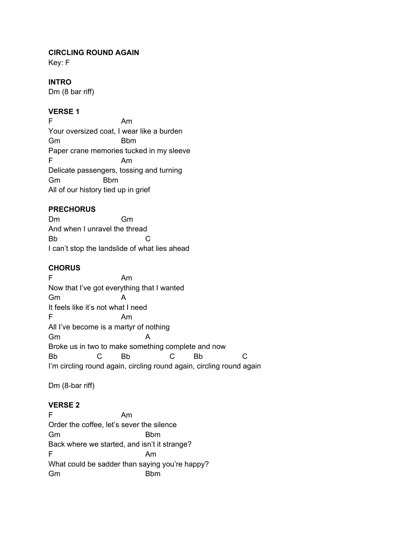## **CIRCLING ROUND AGAIN**

Key: F

### **INTRO**

Dm (8 bar riff)

# **VERSE 1**

F Am Your oversized coat, I wear like a burden Gm Bbm Paper crane memories tucked in my sleeve F Am Delicate passengers, tossing and turning Gm Bbm All of our history tied up in grief

### **PRECHORUS**

Dm Gm And when I unravel the thread Bb C I can't stop the landslide of what lies ahead

# **CHORUS**

F Am Now that I've got everything that I wanted Gm A It feels like it's not what I need F Am All I've become is a martyr of nothing Gm Broke us in two to make something complete and now Bb C Bb C Bb C I'm circling round again, circling round again, circling round again

Dm (8-bar riff)

### **VERSE 2**

F Am Order the coffee, let's sever the silence Gm Bbm Back where we started, and isn't it strange? F Am What could be sadder than saying you're happy? Gm Bbm